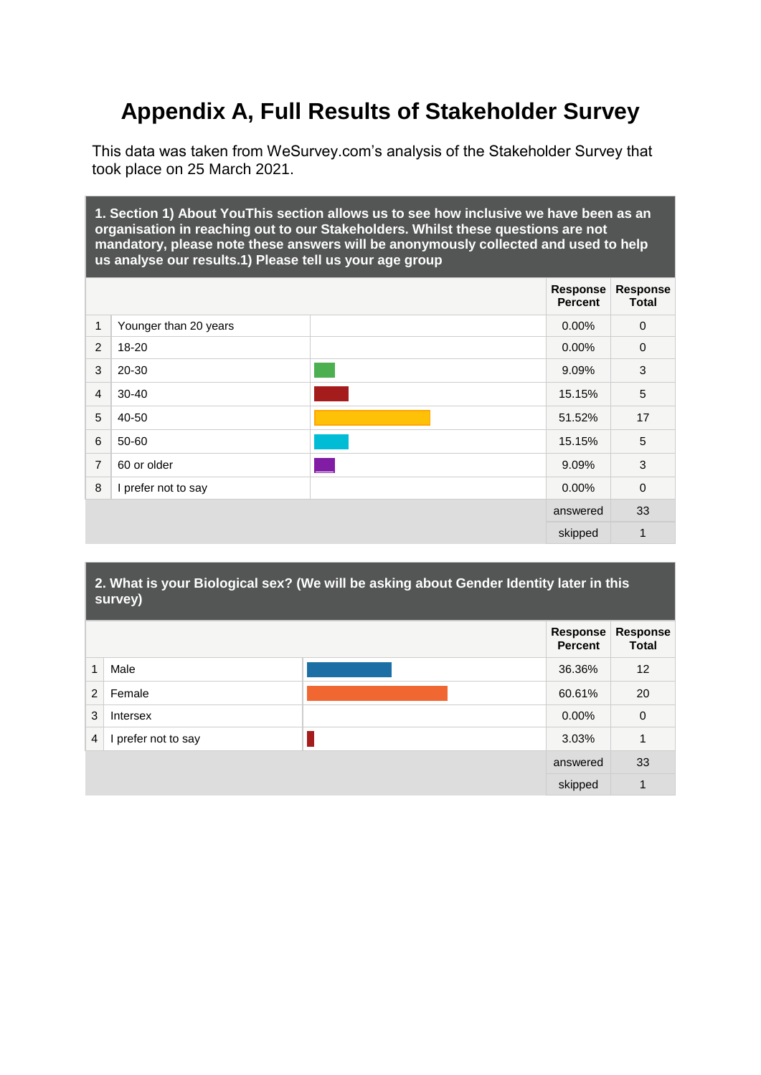# **Appendix A, Full Results of Stakeholder Survey**

This data was taken from WeSurvey.com's analysis of the Stakeholder Survey that took place on 25 March 2021.

**1. Section 1) About YouThis section allows us to see how inclusive we have been as an organisation in reaching out to our Stakeholders. Whilst these questions are not mandatory, please note these answers will be anonymously collected and used to help us analyse our results.1) Please tell us your age group** 

|                |                       | <b>Response</b><br><b>Percent</b> | <b>Response</b><br><b>Total</b> |
|----------------|-----------------------|-----------------------------------|---------------------------------|
| 1              | Younger than 20 years | 0.00%                             | $\mathbf 0$                     |
| 2              | 18-20                 | 0.00%                             | $\mathbf 0$                     |
| 3              | 20-30                 | 9.09%                             | 3                               |
| $\overline{4}$ | 30-40                 | 15.15%                            | $\overline{5}$                  |
| 5              | 40-50                 | 51.52%                            | 17                              |
| 6              | 50-60                 | 15.15%                            | $\overline{5}$                  |
| 7              | 60 or older           | 9.09%                             | 3                               |
| 8              | I prefer not to say   | 0.00%                             | $\mathbf 0$                     |
|                |                       | answered                          | 33                              |
|                |                       | skipped                           | 1                               |

#### **2. What is your Biological sex? (We will be asking about Gender Identity later in this survey)**

|                |                     | Response<br><b>Percent</b> | <b>Response</b><br><b>Total</b> |
|----------------|---------------------|----------------------------|---------------------------------|
| 1              | Male                | 36.36%                     | 12                              |
| 2              | Female              | 60.61%                     | 20                              |
| 3              | Intersex            | $0.00\%$                   | $\mathbf 0$                     |
| $\overline{4}$ | I prefer not to say | 3.03%                      | 1                               |
|                |                     | answered                   | 33                              |
|                |                     | skipped                    | 1                               |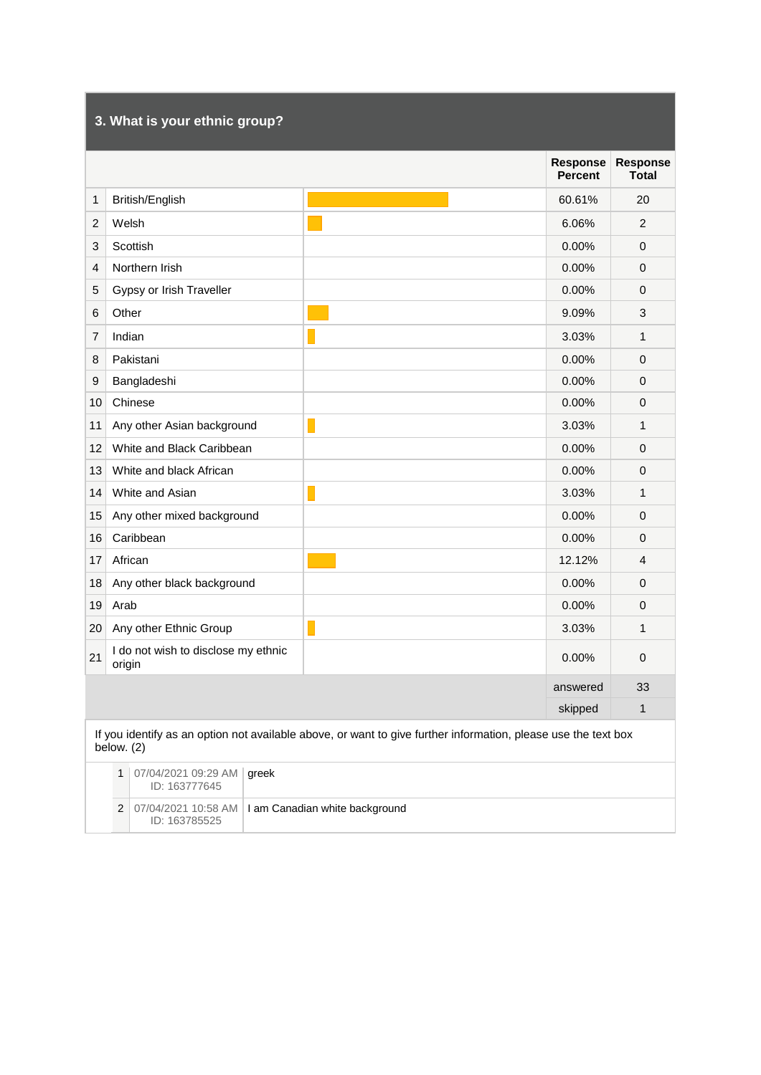## **3. What is your ethnic group?**

|    |                                               |                                                                                                                | Response<br><b>Percent</b> | <b>Response</b><br><b>Total</b> |
|----|-----------------------------------------------|----------------------------------------------------------------------------------------------------------------|----------------------------|---------------------------------|
| 1  | British/English                               |                                                                                                                | 60.61%                     | 20                              |
| 2  | Welsh                                         |                                                                                                                | 6.06%                      | 2                               |
| 3  | Scottish                                      |                                                                                                                | 0.00%                      | 0                               |
| 4  | Northern Irish                                |                                                                                                                | 0.00%                      | 0                               |
| 5  | Gypsy or Irish Traveller                      |                                                                                                                | 0.00%                      | $\mathbf 0$                     |
| 6  | Other                                         |                                                                                                                | 9.09%                      | 3                               |
| 7  | Indian                                        |                                                                                                                | 3.03%                      | $\mathbf{1}$                    |
| 8  | Pakistani                                     |                                                                                                                | 0.00%                      | 0                               |
| 9  | Bangladeshi                                   |                                                                                                                | 0.00%                      | 0                               |
| 10 | Chinese                                       |                                                                                                                | 0.00%                      | 0                               |
| 11 | Any other Asian background                    |                                                                                                                | 3.03%                      | $\mathbf{1}$                    |
| 12 | White and Black Caribbean                     |                                                                                                                | 0.00%                      | 0                               |
| 13 | White and black African                       |                                                                                                                | 0.00%                      | $\Omega$                        |
| 14 | White and Asian                               |                                                                                                                | 3.03%                      | $\mathbf{1}$                    |
| 15 | Any other mixed background                    |                                                                                                                | 0.00%                      | 0                               |
| 16 | Caribbean                                     |                                                                                                                | 0.00%                      | 0                               |
| 17 | African                                       |                                                                                                                | 12.12%                     | 4                               |
| 18 | Any other black background                    |                                                                                                                | 0.00%                      | 0                               |
| 19 | Arab                                          |                                                                                                                | 0.00%                      | 0                               |
| 20 | Any other Ethnic Group                        |                                                                                                                | 3.03%                      | $\mathbf{1}$                    |
| 21 | I do not wish to disclose my ethnic<br>origin |                                                                                                                | 0.00%                      | 0                               |
|    |                                               |                                                                                                                | answered                   | 33                              |
|    |                                               |                                                                                                                | skipped                    | $\mathbf{1}$                    |
|    | below. (2)                                    | If you identify as an option not available above, or want to give further information, please use the text box |                            |                                 |

| 1 07/04/2021 09:29 AM greek<br>ID: 163777645 |                                                        |
|----------------------------------------------|--------------------------------------------------------|
| ID: 163785525                                | $2$ 07/04/2021 10:58 AM 1 am Canadian white background |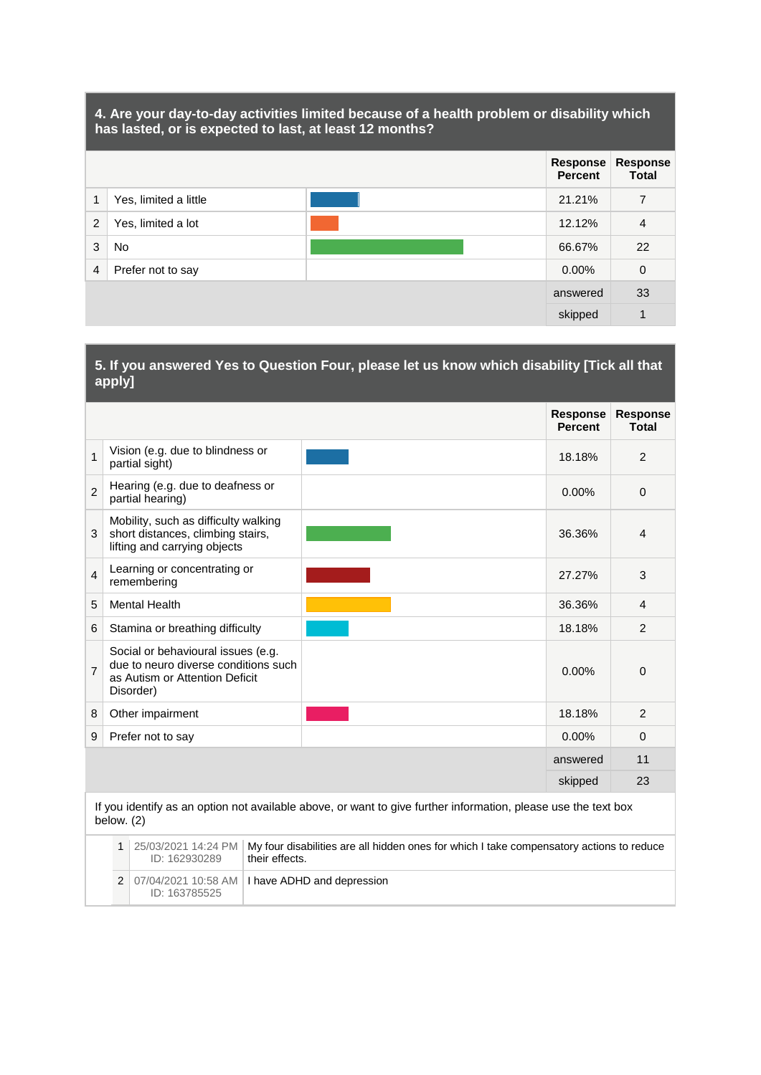#### **4. Are your day-to-day activities limited because of a health problem or disability which has lasted, or is expected to last, at least 12 months?**

|   |                       | Response Response<br><b>Percent</b> | <b>Total</b>   |
|---|-----------------------|-------------------------------------|----------------|
| 1 | Yes, limited a little | 21.21%                              | $\overline{7}$ |
| 2 | Yes, limited a lot    | 12.12%                              | $\overline{4}$ |
| 3 | <b>No</b>             | 66.67%                              | 22             |
| 4 | Prefer not to say     | $0.00\%$                            | $\mathbf 0$    |
|   |                       | answered                            | 33             |
|   |                       | skipped                             | 1              |

#### **5. If you answered Yes to Question Four, please let us know which disability [Tick all that apply]**

|                |                                                                                                                           |                                                                                                                | <b>Response</b><br><b>Percent</b> | <b>Response</b><br><b>Total</b> |
|----------------|---------------------------------------------------------------------------------------------------------------------------|----------------------------------------------------------------------------------------------------------------|-----------------------------------|---------------------------------|
| $\mathbf{1}$   | Vision (e.g. due to blindness or<br>partial sight)                                                                        |                                                                                                                | 18.18%                            | 2                               |
| $\overline{2}$ | Hearing (e.g. due to deafness or<br>partial hearing)                                                                      |                                                                                                                | $0.00\%$                          | $\Omega$                        |
| 3              | Mobility, such as difficulty walking<br>short distances, climbing stairs,<br>lifting and carrying objects                 |                                                                                                                | 36.36%                            | $\overline{4}$                  |
| 4              | Learning or concentrating or<br>remembering                                                                               |                                                                                                                | 27.27%                            | 3                               |
| 5              | <b>Mental Health</b>                                                                                                      |                                                                                                                | 36.36%                            | 4                               |
| 6              | Stamina or breathing difficulty                                                                                           |                                                                                                                | 18.18%                            | 2                               |
| 7              | Social or behavioural issues (e.g.<br>due to neuro diverse conditions such<br>as Autism or Attention Deficit<br>Disorder) |                                                                                                                | $0.00\%$                          | $\Omega$                        |
| 8              | Other impairment                                                                                                          |                                                                                                                | 18.18%                            | 2                               |
| 9              | Prefer not to say                                                                                                         |                                                                                                                | $0.00\%$                          | $\Omega$                        |
|                |                                                                                                                           |                                                                                                                | answered                          | 11                              |
|                |                                                                                                                           |                                                                                                                | skipped                           | 23                              |
|                |                                                                                                                           | If you identify as an option not available above, or want to give further information, please use the text box |                                   |                                 |

below. (2)

|  | ID: 162930289 | 1 25/03/2021 14:24 PM   My four disabilities are all hidden ones for which I take compensatory actions to reduce<br>their effects. |
|--|---------------|------------------------------------------------------------------------------------------------------------------------------------|
|  | ID: 163785525 | 2 07/04/2021 10:58 AM $\vert$ I have ADHD and depression                                                                           |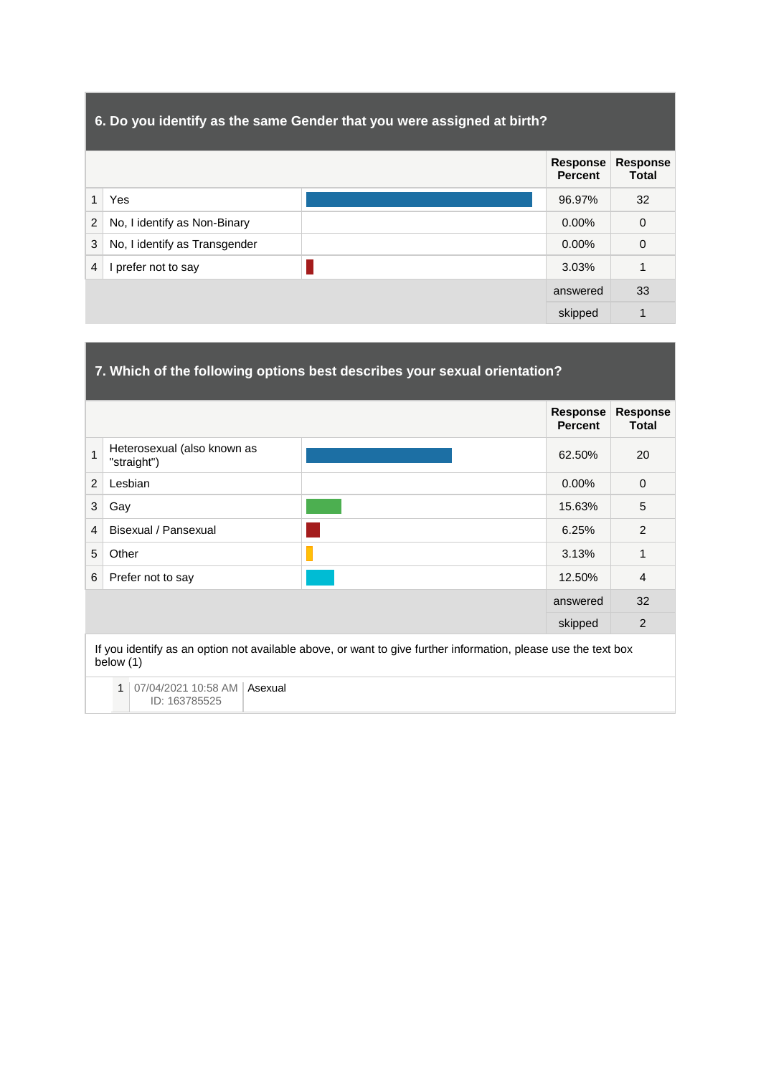## **6. Do you identify as the same Gender that you were assigned at birth?**

|                |                               | Response<br><b>Percent</b> | Response<br><b>Total</b> |
|----------------|-------------------------------|----------------------------|--------------------------|
| 1              | Yes                           | 96.97%                     | 32                       |
| $\overline{2}$ | No, I identify as Non-Binary  | $0.00\%$                   | $\mathbf 0$              |
| 3              | No, I identify as Transgender | $0.00\%$                   | $\mathbf 0$              |
| 4              | prefer not to say             | 3.03%                      | 1                        |
|                |                               | answered                   | 33                       |
|                |                               | skipped                    | 1                        |

### **7. Which of the following options best describes your sexual orientation?**

|                |                                            | Response<br><b>Percent</b> | <b>Response</b><br><b>Total</b> |
|----------------|--------------------------------------------|----------------------------|---------------------------------|
| 1              | Heterosexual (also known as<br>"straight") | 62.50%                     | 20                              |
| 2              | Lesbian                                    | $0.00\%$                   | $\mathbf{0}$                    |
| 3              | Gay                                        | 15.63%                     | 5                               |
| $\overline{4}$ | Bisexual / Pansexual                       | 6.25%                      | 2                               |
| 5              | Other                                      | 3.13%                      | 1                               |
| 6              | Prefer not to say                          | 12.50%                     | $\overline{4}$                  |
|                |                                            | answered                   | 32                              |
|                |                                            | skipped                    | 2                               |

If you identify as an option not available above, or want to give further information, please use the text box below (1)

| 1 07/04/2021 10:58 AM Asexual |  |
|-------------------------------|--|
| ID: 163785525                 |  |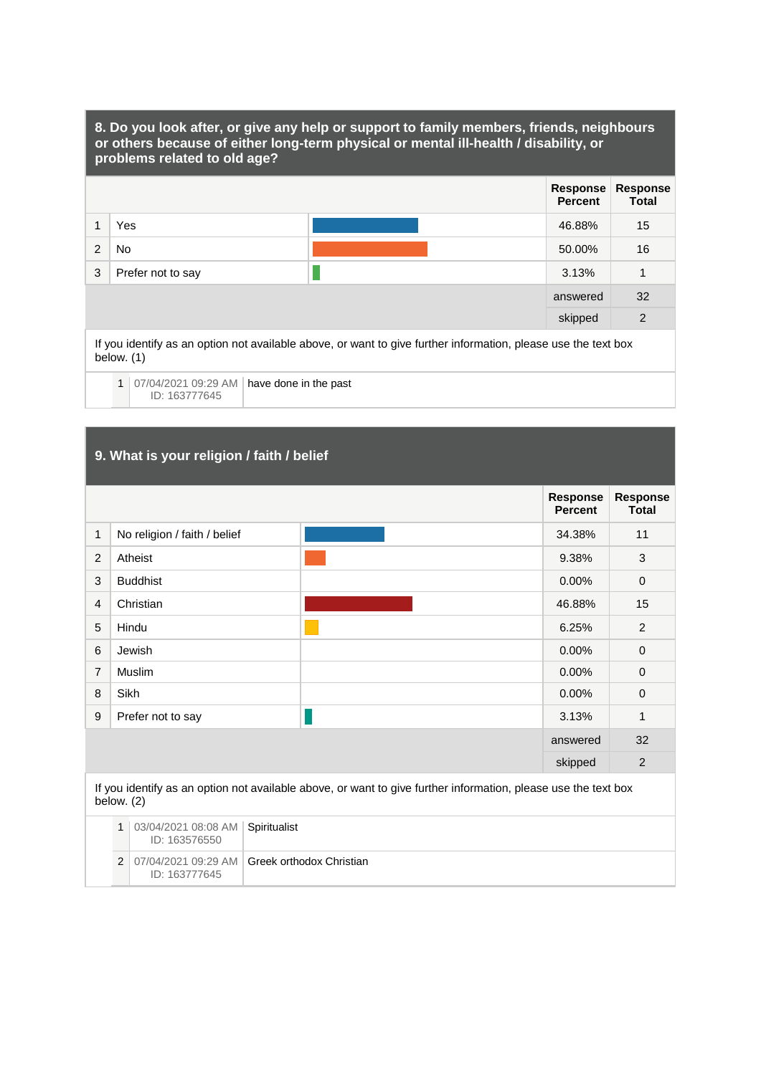#### **8. Do you look after, or give any help or support to family members, friends, neighbours or others because of either long-term physical or mental ill-health / disability, or problems related to old age?**

|   |                   | Response Response<br>Percent | <b>Total</b> |
|---|-------------------|------------------------------|--------------|
|   | Yes               | 46.88%                       | 15           |
| 2 | <b>No</b>         | 50.00%                       | 16           |
| 3 | Prefer not to say | 3.13%                        | 1            |
|   |                   | answered                     | 32           |
|   |                   | skipped                      | 2            |

If you identify as an option not available above, or want to give further information, please use the text box below. (1)

1 [07/04/2021](file:///C:/survey/results/responses/id/888856%3fu=163777645) 09:29 AM have done in the past ID: [163777645](file:///C:/survey/results/responses/id/888856%3fu=163777645)

## **9. What is your religion / faith / belief**

|                |                              | <b>Response</b><br><b>Percent</b> | <b>Response</b><br><b>Total</b> |
|----------------|------------------------------|-----------------------------------|---------------------------------|
| 1              | No religion / faith / belief | 34.38%                            | 11                              |
| 2              | Atheist                      | 9.38%                             | 3                               |
| 3              | <b>Buddhist</b>              | 0.00%                             | $\pmb{0}$                       |
| $\overline{4}$ | Christian                    | 46.88%                            | 15                              |
| 5              | Hindu                        | 6.25%                             | $\overline{c}$                  |
| 6              | Jewish                       | 0.00%                             | 0                               |
| 7              | Muslim                       | 0.00%                             | $\mathbf 0$                     |
| 8              | Sikh                         | 0.00%                             | 0                               |
| 9              | Prefer not to say            | 3.13%                             | 1                               |
|                |                              | answered                          | 32                              |
|                |                              | skipped                           | 2                               |

below. (2)

|  | 03/04/2021 08:08 AM Spiritualist<br>ID: 163576550 |                                                  |
|--|---------------------------------------------------|--------------------------------------------------|
|  | ID: 163777645                                     | $2$ 07/04/2021 09:29 AM Greek orthodox Christian |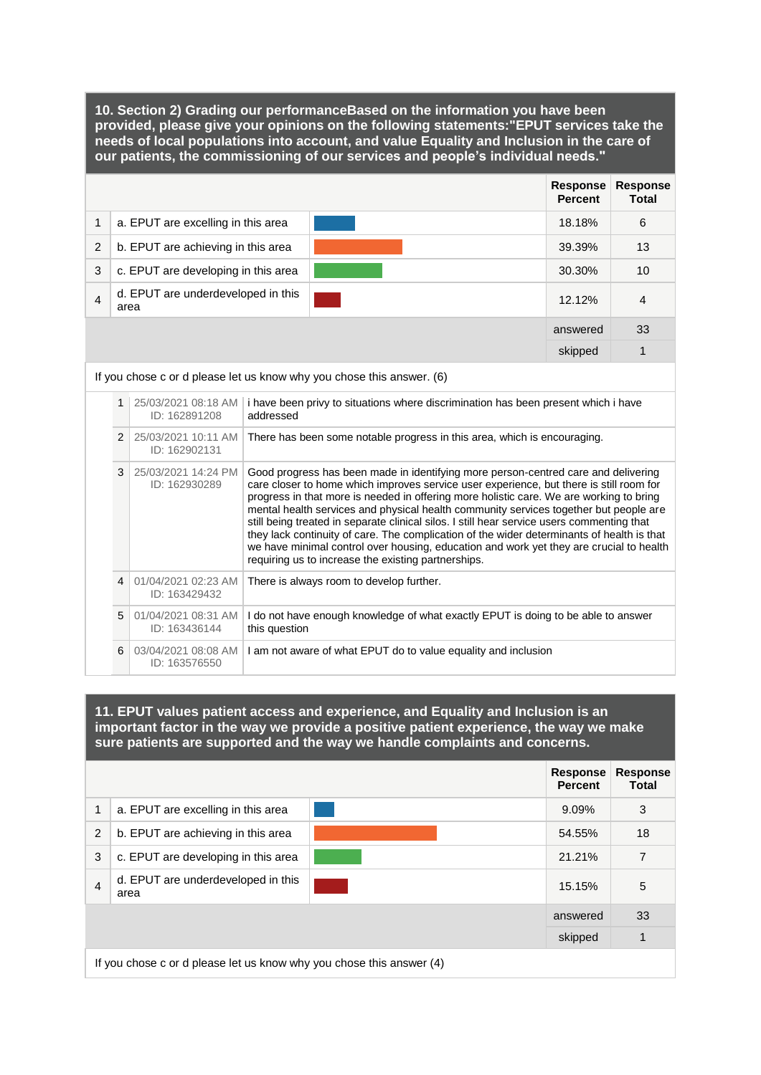**10. Section 2) Grading our performanceBased on the information you have been provided, please give your opinions on the following statements:"EPUT services take the needs of local populations into account, and value Equality and Inclusion in the care of our patients, the commissioning of our services and people's individual needs."** 

|                         |                         |                                            |                                                                                                                                                                                                                                                                                                                                                                                                                                                                                                                                                                                                                                                                                                                 | Response<br><b>Percent</b> | <b>Response</b><br><b>Total</b> |  |
|-------------------------|-------------------------|--------------------------------------------|-----------------------------------------------------------------------------------------------------------------------------------------------------------------------------------------------------------------------------------------------------------------------------------------------------------------------------------------------------------------------------------------------------------------------------------------------------------------------------------------------------------------------------------------------------------------------------------------------------------------------------------------------------------------------------------------------------------------|----------------------------|---------------------------------|--|
| 1                       |                         | a. EPUT are excelling in this area         |                                                                                                                                                                                                                                                                                                                                                                                                                                                                                                                                                                                                                                                                                                                 | 18.18%                     | 6                               |  |
| $\overline{c}$          |                         | b. EPUT are achieving in this area         |                                                                                                                                                                                                                                                                                                                                                                                                                                                                                                                                                                                                                                                                                                                 | 39.39%                     | 13                              |  |
| 3                       |                         | c. EPUT are developing in this area        |                                                                                                                                                                                                                                                                                                                                                                                                                                                                                                                                                                                                                                                                                                                 | 30.30%                     | 10                              |  |
| $\overline{\mathbf{4}}$ |                         | d. EPUT are underdeveloped in this<br>area |                                                                                                                                                                                                                                                                                                                                                                                                                                                                                                                                                                                                                                                                                                                 | 12.12%                     | $\overline{4}$                  |  |
|                         |                         |                                            |                                                                                                                                                                                                                                                                                                                                                                                                                                                                                                                                                                                                                                                                                                                 | answered                   | 33                              |  |
|                         |                         |                                            |                                                                                                                                                                                                                                                                                                                                                                                                                                                                                                                                                                                                                                                                                                                 | skipped                    | $\mathbf{1}$                    |  |
|                         |                         |                                            | If you chose c or d please let us know why you chose this answer. (6)                                                                                                                                                                                                                                                                                                                                                                                                                                                                                                                                                                                                                                           |                            |                                 |  |
|                         | 1                       | 25/03/2021 08:18 AM<br>ID: 162891208       | i have been privy to situations where discrimination has been present which i have<br>addressed                                                                                                                                                                                                                                                                                                                                                                                                                                                                                                                                                                                                                 |                            |                                 |  |
|                         | 2                       | 25/03/2021 10:11 AM<br>ID: 162902131       | There has been some notable progress in this area, which is encouraging.                                                                                                                                                                                                                                                                                                                                                                                                                                                                                                                                                                                                                                        |                            |                                 |  |
|                         | 3                       | 25/03/2021 14:24 PM<br>ID: 162930289       | Good progress has been made in identifying more person-centred care and delivering<br>care closer to home which improves service user experience, but there is still room for<br>progress in that more is needed in offering more holistic care. We are working to bring<br>mental health services and physical health community services together but people are<br>still being treated in separate clinical silos. I still hear service users commenting that<br>they lack continuity of care. The complication of the wider determinants of health is that<br>we have minimal control over housing, education and work yet they are crucial to health<br>requiring us to increase the existing partnerships. |                            |                                 |  |
|                         | $\overline{\mathbf{4}}$ | 01/04/2021 02:23 AM<br>ID: 163429432       | There is always room to develop further.                                                                                                                                                                                                                                                                                                                                                                                                                                                                                                                                                                                                                                                                        |                            |                                 |  |
|                         | 5                       | 01/04/2021 08:31 AM<br>ID: 163436144       | I do not have enough knowledge of what exactly EPUT is doing to be able to answer<br>this question                                                                                                                                                                                                                                                                                                                                                                                                                                                                                                                                                                                                              |                            |                                 |  |
|                         | 6                       | 03/04/2021 08:08 AM<br>ID: 163576550       | I am not aware of what EPUT do to value equality and inclusion                                                                                                                                                                                                                                                                                                                                                                                                                                                                                                                                                                                                                                                  |                            |                                 |  |

**11. EPUT values patient access and experience, and Equality and Inclusion is an important factor in the way we provide a positive patient experience, the way we make sure patients are supported and the way we handle complaints and concerns.** 

|                                                                      |                                            |  | <b>Response</b><br><b>Percent</b> | <b>Response</b><br>Total |  |  |  |
|----------------------------------------------------------------------|--------------------------------------------|--|-----------------------------------|--------------------------|--|--|--|
| 1                                                                    | a. EPUT are excelling in this area         |  | 9.09%                             | 3                        |  |  |  |
| 2                                                                    | b. EPUT are achieving in this area         |  | 54.55%                            | 18                       |  |  |  |
| 3                                                                    | c. EPUT are developing in this area        |  | 21.21%                            | 7                        |  |  |  |
| $\overline{4}$                                                       | d. EPUT are underdeveloped in this<br>area |  | 15.15%                            | 5                        |  |  |  |
|                                                                      |                                            |  | answered                          | 33                       |  |  |  |
|                                                                      | skipped                                    |  |                                   |                          |  |  |  |
| If you chose c or d please let us know why you chose this answer (4) |                                            |  |                                   |                          |  |  |  |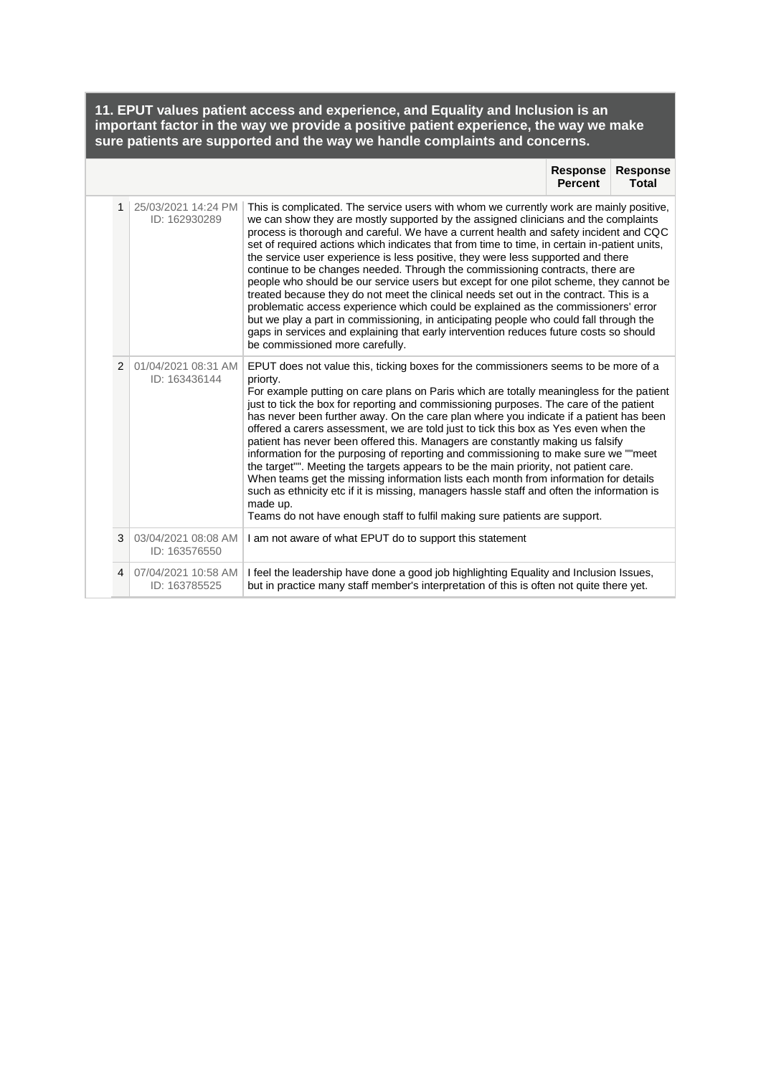**11. EPUT values patient access and experience, and Equality and Inclusion is an important factor in the way we provide a positive patient experience, the way we make sure patients are supported and the way we handle complaints and concerns.** 

|  |                |                                      | Response Response<br><b>Percent</b><br>Total                                                                                                                                                                                                                                                                                                                                                                                                                                                                                                                                                                                                                                                                                                                                                                                                                                                                                                                                                                                                  |  |  |  |
|--|----------------|--------------------------------------|-----------------------------------------------------------------------------------------------------------------------------------------------------------------------------------------------------------------------------------------------------------------------------------------------------------------------------------------------------------------------------------------------------------------------------------------------------------------------------------------------------------------------------------------------------------------------------------------------------------------------------------------------------------------------------------------------------------------------------------------------------------------------------------------------------------------------------------------------------------------------------------------------------------------------------------------------------------------------------------------------------------------------------------------------|--|--|--|
|  | 1              | 25/03/2021 14:24 PM<br>ID: 162930289 | This is complicated. The service users with whom we currently work are mainly positive.<br>we can show they are mostly supported by the assigned clinicians and the complaints<br>process is thorough and careful. We have a current health and safety incident and CQC<br>set of required actions which indicates that from time to time, in certain in-patient units,<br>the service user experience is less positive, they were less supported and there<br>continue to be changes needed. Through the commissioning contracts, there are<br>people who should be our service users but except for one pilot scheme, they cannot be<br>treated because they do not meet the clinical needs set out in the contract. This is a<br>problematic access experience which could be explained as the commissioners' error<br>but we play a part in commissioning, in anticipating people who could fall through the<br>gaps in services and explaining that early intervention reduces future costs so should<br>be commissioned more carefully. |  |  |  |
|  | $\overline{2}$ | 01/04/2021 08:31 AM<br>ID: 163436144 | EPUT does not value this, ticking boxes for the commissioners seems to be more of a<br>priorty.<br>For example putting on care plans on Paris which are totally meaningless for the patient<br>just to tick the box for reporting and commissioning purposes. The care of the patient<br>has never been further away. On the care plan where you indicate if a patient has been<br>offered a carers assessment, we are told just to tick this box as Yes even when the<br>patient has never been offered this. Managers are constantly making us falsify<br>information for the purposing of reporting and commissioning to make sure we ""meet<br>the target"". Meeting the targets appears to be the main priority, not patient care.<br>When teams get the missing information lists each month from information for details<br>such as ethnicity etc if it is missing, managers hassle staff and often the information is<br>made up.<br>Teams do not have enough staff to fulfil making sure patients are support.                       |  |  |  |
|  | 3              | 03/04/2021 08:08 AM<br>ID: 163576550 | I am not aware of what EPUT do to support this statement                                                                                                                                                                                                                                                                                                                                                                                                                                                                                                                                                                                                                                                                                                                                                                                                                                                                                                                                                                                      |  |  |  |
|  | 4              | 07/04/2021 10:58 AM<br>ID: 163785525 | I feel the leadership have done a good job highlighting Equality and Inclusion Issues,<br>but in practice many staff member's interpretation of this is often not quite there yet.                                                                                                                                                                                                                                                                                                                                                                                                                                                                                                                                                                                                                                                                                                                                                                                                                                                            |  |  |  |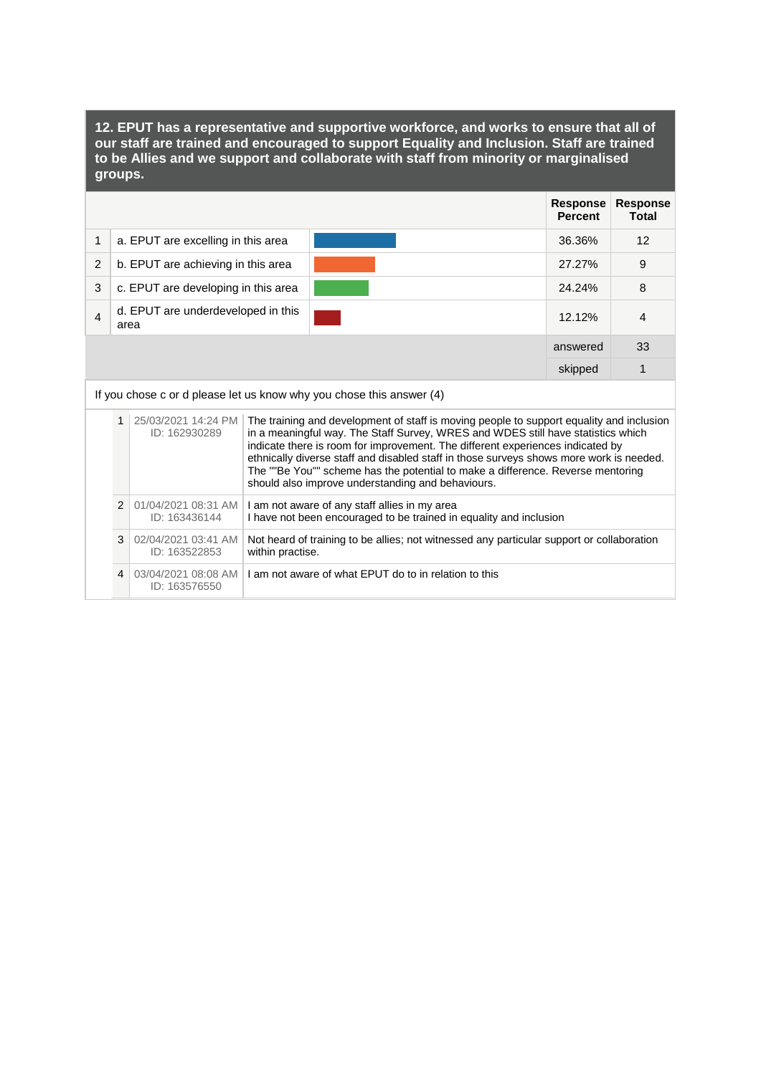**12. EPUT has a representative and supportive workforce, and works to ensure that all of our staff are trained and encouraged to support Equality and Inclusion. Staff are trained to be Allies and we support and collaborate with staff from minority or marginalised groups.** 

|   |                                                                                                                                                                                                                                                                                                                                                                                            | <b>Response</b><br><b>Percent</b> | <b>Response</b><br>Total |  |  |
|---|--------------------------------------------------------------------------------------------------------------------------------------------------------------------------------------------------------------------------------------------------------------------------------------------------------------------------------------------------------------------------------------------|-----------------------------------|--------------------------|--|--|
| 1 | a. EPUT are excelling in this area                                                                                                                                                                                                                                                                                                                                                         | 36.36%                            | 12                       |  |  |
| 2 | b. EPUT are achieving in this area                                                                                                                                                                                                                                                                                                                                                         | 27.27%                            | 9                        |  |  |
| 3 | c. EPUT are developing in this area                                                                                                                                                                                                                                                                                                                                                        | 24.24%                            | 8                        |  |  |
| 4 | d. EPUT are underdeveloped in this<br>area                                                                                                                                                                                                                                                                                                                                                 | 12.12%                            | $\overline{4}$           |  |  |
|   |                                                                                                                                                                                                                                                                                                                                                                                            | answered                          | 33                       |  |  |
|   |                                                                                                                                                                                                                                                                                                                                                                                            | skipped                           | 1                        |  |  |
|   | If you chose c or d please let us know why you chose this answer (4)                                                                                                                                                                                                                                                                                                                       |                                   |                          |  |  |
|   | 1<br>25/03/2021 14:24 PM The training and development of staff is moving people to support equality and inclusion<br>$\lambda_{\rm B}$ is a constant, if $\lambda_{\rm B}$ is $\lambda_{\rm B}$ and $\lambda_{\rm B}$ ( $\lambda_{\rm B}$ ) $\lambda_{\rm B}$ and $\lambda_{\rm B}$ ( $\lambda_{\rm B}$ ) is a constant of $\lambda_{\rm B}$ ).<br>$I\Gamma$ . $A$ $O$ $O$ $O$ $O$ $O$ $O$ |                                   |                          |  |  |

|  |                | $\angle$ 3/U3/ZUZ L 14.Z4 FIVL<br>ID: 162930289 | The training and development of start is moving people to support equality and inclusion<br>in a meaningful way. The Staff Survey, WRES and WDES still have statistics which<br>indicate there is room for improvement. The different experiences indicated by<br>ethnically diverse staff and disabled staff in those surveys shows more work is needed.<br>The ""Be You"" scheme has the potential to make a difference. Reverse mentoring<br>should also improve understanding and behaviours. |
|--|----------------|-------------------------------------------------|---------------------------------------------------------------------------------------------------------------------------------------------------------------------------------------------------------------------------------------------------------------------------------------------------------------------------------------------------------------------------------------------------------------------------------------------------------------------------------------------------|
|  | $\overline{2}$ | 01/04/2021 08:31 AM<br>ID: 163436144            | am not aware of any staff allies in my area<br>I have not been encouraged to be trained in equality and inclusion                                                                                                                                                                                                                                                                                                                                                                                 |
|  | $\mathbf{3}$   | 02/04/2021 03:41 AM<br>ID: 163522853            | Not heard of training to be allies; not witnessed any particular support or collaboration<br>within practise.                                                                                                                                                                                                                                                                                                                                                                                     |
|  | 4 <sup>1</sup> | 03/04/2021 08:08 AM<br>ID: 163576550            | am not aware of what EPUT do to in relation to this                                                                                                                                                                                                                                                                                                                                                                                                                                               |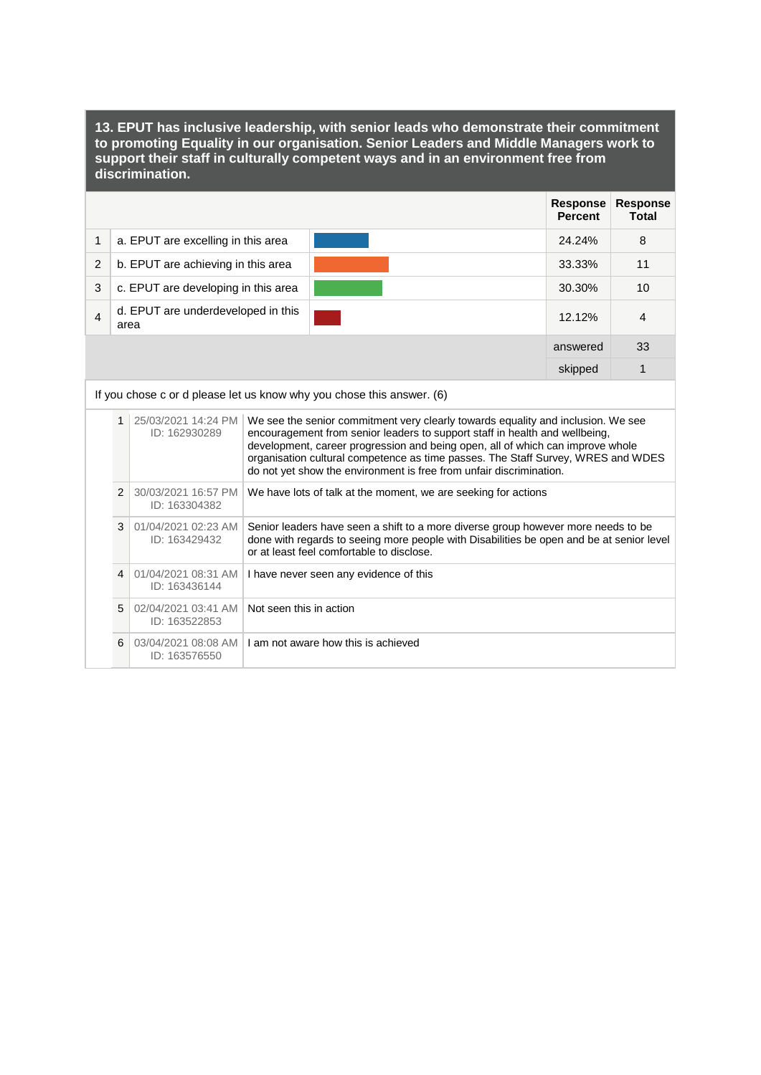**13. EPUT has inclusive leadership, with senior leads who demonstrate their commitment to promoting Equality in our organisation. Senior Leaders and Middle Managers work to support their staff in culturally competent ways and in an environment free from discrimination.** 

|                |               |                                            |                         |                                                                                                                                                                                                                                                                                                                                                                                                              | <b>Response</b><br><b>Percent</b> | <b>Response</b><br><b>Total</b> |
|----------------|---------------|--------------------------------------------|-------------------------|--------------------------------------------------------------------------------------------------------------------------------------------------------------------------------------------------------------------------------------------------------------------------------------------------------------------------------------------------------------------------------------------------------------|-----------------------------------|---------------------------------|
| 1              |               | a. EPUT are excelling in this area         |                         |                                                                                                                                                                                                                                                                                                                                                                                                              | 24.24%                            | 8                               |
| 2              |               | b. EPUT are achieving in this area         |                         |                                                                                                                                                                                                                                                                                                                                                                                                              | 33.33%                            | 11                              |
| 3              |               | c. EPUT are developing in this area        |                         |                                                                                                                                                                                                                                                                                                                                                                                                              | 30.30%                            | 10                              |
| $\overline{4}$ |               | d. EPUT are underdeveloped in this<br>area |                         |                                                                                                                                                                                                                                                                                                                                                                                                              | 12.12%                            | 4                               |
|                |               |                                            |                         |                                                                                                                                                                                                                                                                                                                                                                                                              | answered                          | 33                              |
|                |               |                                            |                         |                                                                                                                                                                                                                                                                                                                                                                                                              | skipped                           | 1                               |
|                |               |                                            |                         | If you chose c or d please let us know why you chose this answer. (6)                                                                                                                                                                                                                                                                                                                                        |                                   |                                 |
|                | 1             | 25/03/2021 14:24 PM<br>ID: 162930289       |                         | We see the senior commitment very clearly towards equality and inclusion. We see<br>encouragement from senior leaders to support staff in health and wellbeing.<br>development, career progression and being open, all of which can improve whole<br>organisation cultural competence as time passes. The Staff Survey, WRES and WDES<br>do not yet show the environment is free from unfair discrimination. |                                   |                                 |
|                | $\mathcal{P}$ | 30/03/2021 16:57 PM<br>ID: 163304382       |                         | We have lots of talk at the moment, we are seeking for actions                                                                                                                                                                                                                                                                                                                                               |                                   |                                 |
|                | 3             | 01/04/2021 02:23 AM<br>ID: 163429432       |                         | Senior leaders have seen a shift to a more diverse group however more needs to be<br>done with regards to seeing more people with Disabilities be open and be at senior level<br>or at least feel comfortable to disclose.                                                                                                                                                                                   |                                   |                                 |
|                | 4             | 01/04/2021 08:31 AM<br>ID: 163436144       |                         | I have never seen any evidence of this                                                                                                                                                                                                                                                                                                                                                                       |                                   |                                 |
|                | 5             | 02/04/2021 03:41 AM<br>ID: 163522853       | Not seen this in action |                                                                                                                                                                                                                                                                                                                                                                                                              |                                   |                                 |
|                | 6             | 03/04/2021 08:08 AM<br>ID: 163576550       |                         | I am not aware how this is achieved                                                                                                                                                                                                                                                                                                                                                                          |                                   |                                 |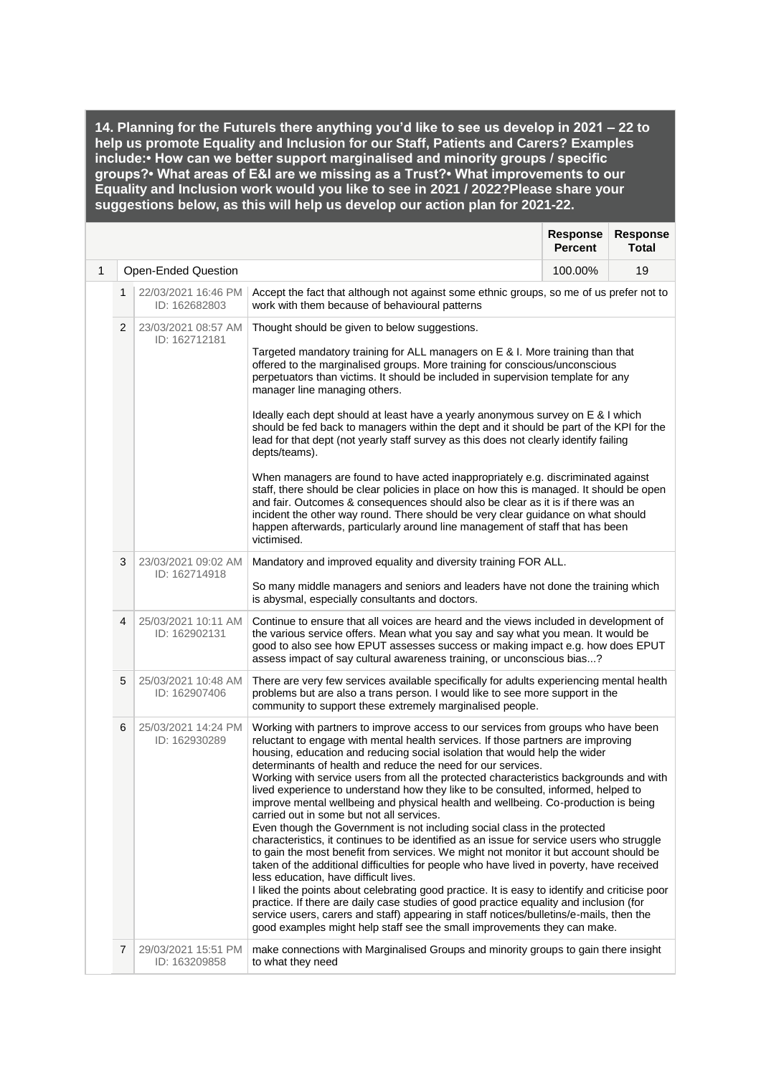**14. Planning for the FutureIs there anything you'd like to see us develop in 2021 – 22 to help us promote Equality and Inclusion for our Staff, Patients and Carers? Examples include:• How can we better support marginalised and minority groups / specific groups?• What areas of E&I are we missing as a Trust?• What improvements to our Equality and Inclusion work would you like to see in 2021 / 2022?Please share your suggestions below, as this will help us develop our action plan for 2021-22.** 

|   |   |                                                                                                                                                                                   |                                                                                                                                                                                                                                                                                                                                                                                                                                                                                                                                                                                                                                                                                                                                                                                                                                                                                                                                                                                                                                                                                                                                                                                                                                                                                                                                                                                                                 | <b>Response</b><br><b>Percent</b> | <b>Response</b><br><b>Total</b> |  |  |
|---|---|-----------------------------------------------------------------------------------------------------------------------------------------------------------------------------------|-----------------------------------------------------------------------------------------------------------------------------------------------------------------------------------------------------------------------------------------------------------------------------------------------------------------------------------------------------------------------------------------------------------------------------------------------------------------------------------------------------------------------------------------------------------------------------------------------------------------------------------------------------------------------------------------------------------------------------------------------------------------------------------------------------------------------------------------------------------------------------------------------------------------------------------------------------------------------------------------------------------------------------------------------------------------------------------------------------------------------------------------------------------------------------------------------------------------------------------------------------------------------------------------------------------------------------------------------------------------------------------------------------------------|-----------------------------------|---------------------------------|--|--|
| 1 |   | Open-Ended Question                                                                                                                                                               |                                                                                                                                                                                                                                                                                                                                                                                                                                                                                                                                                                                                                                                                                                                                                                                                                                                                                                                                                                                                                                                                                                                                                                                                                                                                                                                                                                                                                 | 100.00%                           | 19                              |  |  |
|   | 1 | 22/03/2021 16:46 PM<br>Accept the fact that although not against some ethnic groups, so me of us prefer not to<br>work with them because of behavioural patterns<br>ID: 162682803 |                                                                                                                                                                                                                                                                                                                                                                                                                                                                                                                                                                                                                                                                                                                                                                                                                                                                                                                                                                                                                                                                                                                                                                                                                                                                                                                                                                                                                 |                                   |                                 |  |  |
|   | 2 | 23/03/2021 08:57 AM<br>ID: 162712181                                                                                                                                              | Thought should be given to below suggestions.<br>Targeted mandatory training for ALL managers on E & I. More training than that<br>offered to the marginalised groups. More training for conscious/unconscious<br>perpetuators than victims. It should be included in supervision template for any<br>manager line managing others.<br>Ideally each dept should at least have a yearly anonymous survey on E & I which<br>should be fed back to managers within the dept and it should be part of the KPI for the<br>lead for that dept (not yearly staff survey as this does not clearly identify failing<br>depts/teams).<br>When managers are found to have acted inappropriately e.g. discriminated against<br>staff, there should be clear policies in place on how this is managed. It should be open<br>and fair. Outcomes & consequences should also be clear as it is if there was an<br>incident the other way round. There should be very clear guidance on what should<br>happen afterwards, particularly around line management of staff that has been<br>victimised.                                                                                                                                                                                                                                                                                                                              |                                   |                                 |  |  |
|   | 3 | 23/03/2021 09:02 AM<br>ID: 162714918                                                                                                                                              | Mandatory and improved equality and diversity training FOR ALL.<br>So many middle managers and seniors and leaders have not done the training which<br>is abysmal, especially consultants and doctors.                                                                                                                                                                                                                                                                                                                                                                                                                                                                                                                                                                                                                                                                                                                                                                                                                                                                                                                                                                                                                                                                                                                                                                                                          |                                   |                                 |  |  |
|   | 4 | 25/03/2021 10:11 AM<br>ID: 162902131                                                                                                                                              | Continue to ensure that all voices are heard and the views included in development of<br>the various service offers. Mean what you say and say what you mean. It would be<br>good to also see how EPUT assesses success or making impact e.g. how does EPUT<br>assess impact of say cultural awareness training, or unconscious bias?                                                                                                                                                                                                                                                                                                                                                                                                                                                                                                                                                                                                                                                                                                                                                                                                                                                                                                                                                                                                                                                                           |                                   |                                 |  |  |
|   | 5 | 25/03/2021 10:48 AM<br>ID: 162907406                                                                                                                                              | There are very few services available specifically for adults experiencing mental health<br>problems but are also a trans person. I would like to see more support in the<br>community to support these extremely marginalised people.                                                                                                                                                                                                                                                                                                                                                                                                                                                                                                                                                                                                                                                                                                                                                                                                                                                                                                                                                                                                                                                                                                                                                                          |                                   |                                 |  |  |
|   | 6 | 25/03/2021 14:24 PM<br>ID: 162930289                                                                                                                                              | Working with partners to improve access to our services from groups who have been<br>reluctant to engage with mental health services. If those partners are improving<br>housing, education and reducing social isolation that would help the wider<br>determinants of health and reduce the need for our services.<br>Working with service users from all the protected characteristics backgrounds and with<br>lived experience to understand how they like to be consulted, informed, helped to<br>improve mental wellbeing and physical health and wellbeing. Co-production is being<br>carried out in some but not all services.<br>Even though the Government is not including social class in the protected<br>characteristics, it continues to be identified as an issue for service users who struggle<br>to gain the most benefit from services. We might not monitor it but account should be<br>taken of the additional difficulties for people who have lived in poverty, have received<br>less education, have difficult lives.<br>I liked the points about celebrating good practice. It is easy to identify and criticise poor<br>practice. If there are daily case studies of good practice equality and inclusion (for<br>service users, carers and staff) appearing in staff notices/bulletins/e-mails, then the<br>good examples might help staff see the small improvements they can make. |                                   |                                 |  |  |
|   | 7 | 29/03/2021 15:51 PM<br>ID: 163209858                                                                                                                                              | make connections with Marginalised Groups and minority groups to gain there insight<br>to what they need                                                                                                                                                                                                                                                                                                                                                                                                                                                                                                                                                                                                                                                                                                                                                                                                                                                                                                                                                                                                                                                                                                                                                                                                                                                                                                        |                                   |                                 |  |  |